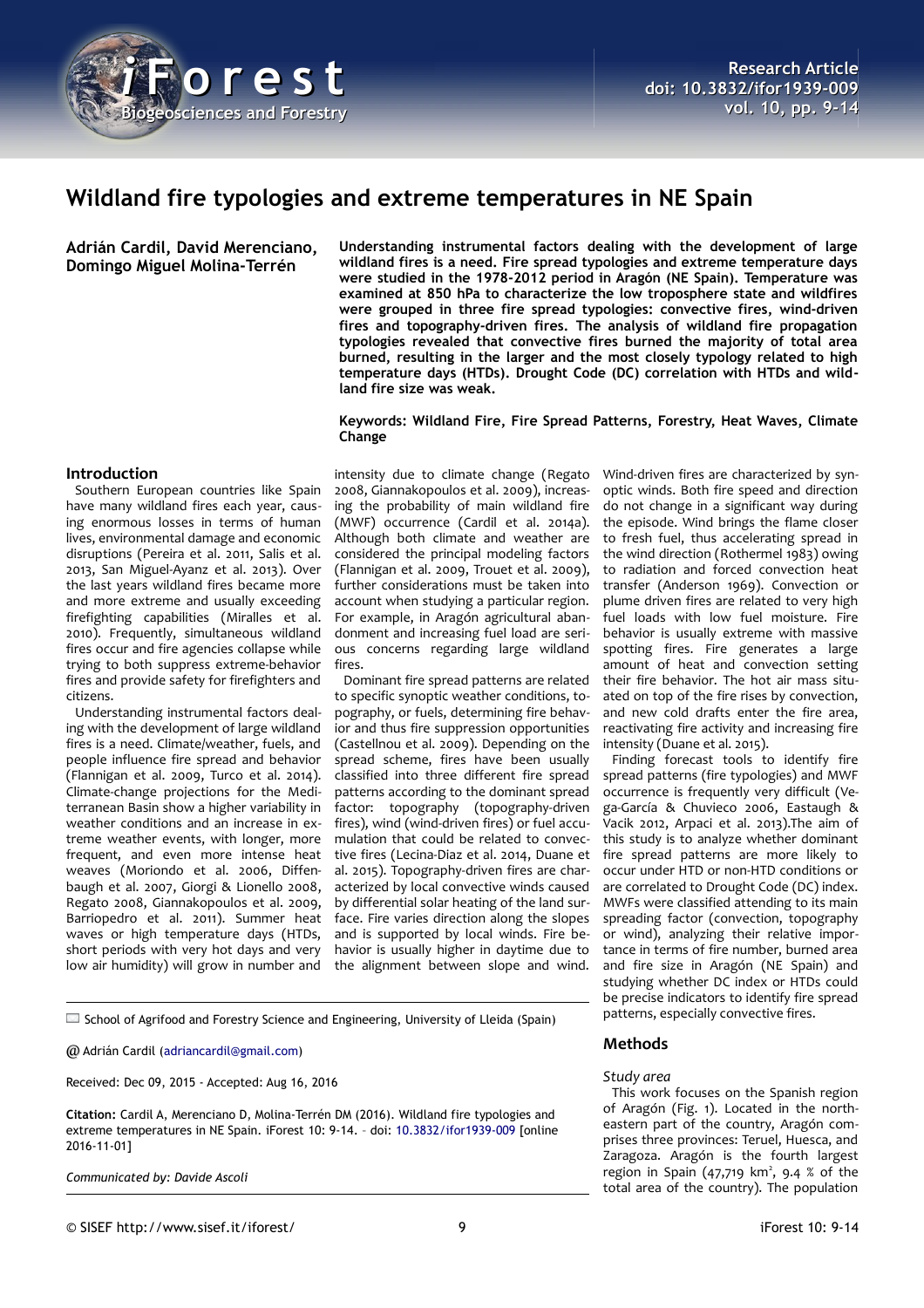

# **Wildland fire typologies and extreme temperatures in NE Spain**

**Adrián Cardil, David Merenciano, Domingo Miguel Molina-Terrén**

**Understanding instrumental factors dealing with the development of large wildland fires is a need. Fire spread typologies and extreme temperature days were studied in the 1978-2012 period in Aragón (NE Spain). Temperature was examined at 850 hPa to characterize the low troposphere state and wildfires were grouped in three fire spread typologies: convective fires, wind-driven fires and topography-driven fires. The analysis of wildland fire propagation typologies revealed that convective fires burned the majority of total area burned, resulting in the larger and the most closely typology related to high temperature days (HTDs). Drought Code (DC) correlation with HTDs and wildland fire size was weak.**

**Keywords: Wildland Fire, Fire Spread Patterns, Forestry, Heat Waves, Climate Change**

#### **Introduction**

Southern European countries like Spain have many wildland fires each year, causing enormous losses in terms of human lives, environmental damage and economic disruptions (Pereira et al. 2011, Salis et al. 2013, San Miguel-Ayanz et al. 2013). Over the last years wildland fires became more and more extreme and usually exceeding firefighting capabilities (Miralles et al. 2010). Frequently, simultaneous wildland fires occur and fire agencies collapse while trying to both suppress extreme-behavior fires and provide safety for firefighters and citizens.

Understanding instrumental factors dealing with the development of large wildland fires is a need. Climate/weather, fuels, and people influence fire spread and behavior (Flannigan et al. 2009, Turco et al. 2014). Climate-change projections for the Mediterranean Basin show a higher variability in weather conditions and an increase in extreme weather events, with longer, more frequent, and even more intense heat weaves (Moriondo et al. 2006, Diffenbaugh et al. 2007, Giorgi & Lionello 2008, Regato 2008, Giannakopoulos et al. 2009, Barriopedro et al. 2011). Summer heat waves or high temperature days (HTDs, short periods with very hot days and very low air humidity) will grow in number and

intensity due to climate change (Regato 2008, Giannakopoulos et al. 2009), increasing the probability of main wildland fire (MWF) occurrence (Cardil et al. 2014a). Although both climate and weather are considered the principal modeling factors (Flannigan et al. 2009, Trouet et al. 2009), further considerations must be taken into account when studying a particular region. For example, in Aragón agricultural abandonment and increasing fuel load are serious concerns regarding large wildland fires.

Dominant fire spread patterns are related to specific synoptic weather conditions, topography, or fuels, determining fire behavior and thus fire suppression opportunities (Castellnou et al. 2009). Depending on the spread scheme, fires have been usually classified into three different fire spread patterns according to the dominant spread factor: topography (topography-driven fires), wind (wind-driven fires) or fuel accumulation that could be related to convective fires (Lecina-Diaz et al. 2014, Duane et al. 2015). Topography-driven fires are characterized by local convective winds caused by differential solar heating of the land surface. Fire varies direction along the slopes and is supported by local winds. Fire behavior is usually higher in daytime due to the alignment between slope and wind.

Wind-driven fires are characterized by synoptic winds. Both fire speed and direction do not change in a significant way during the episode. Wind brings the flame closer to fresh fuel, thus accelerating spread in the wind direction (Rothermel 1983) owing to radiation and forced convection heat transfer (Anderson 1969). Convection or plume driven fires are related to very high fuel loads with low fuel moisture. Fire behavior is usually extreme with massive spotting fires. Fire generates a large amount of heat and convection setting their fire behavior. The hot air mass situated on top of the fire rises by convection, and new cold drafts enter the fire area, reactivating fire activity and increasing fire intensity (Duane et al. 2015).

Finding forecast tools to identify fire spread patterns (fire typologies) and MWF occurrence is frequently very difficult (Vega-García & Chuvieco 2006, Eastaugh & Vacik 2012, Arpaci et al. 2013).The aim of this study is to analyze whether dominant fire spread patterns are more likely to occur under HTD or non-HTD conditions or are correlated to Drought Code (DC) index. MWFs were classified attending to its main spreading factor (convection, topography or wind), analyzing their relative importance in terms of fire number, burned area and fire size in Aragón (NE Spain) and studying whether DC index or HTDs could be precise indicators to identify fire spread patterns, especially convective fires.

 $\square$  School of Agrifood and Forestry Science and Engineering, University of Lleida (Spain)

@ Adrián Cardil [\(adriancardil@gmail.com\)](mailto:adriancardil@gmail.com)

Received: Dec 09, 2015 - Accepted: Aug 16, 2016

**Citation:** Cardil A, Merenciano D, Molina-Terrén DM (2016). Wildland fire typologies and extreme temperatures in NE Spain. iForest 10: 9-14. – doi: [10.3832/ifor1939-009](http://www.sisef.it/iforest/contents/?id=ifor1939-009) [online 2016-11-01]

*Communicated by: Davide Ascoli*

#### **Methods**

#### *Study area*

This work focuses on the Spanish region of Aragón [\(Fig. 1\)](#page-1-0). Located in the northeastern part of the country, Aragón comprises three provinces: Teruel, Huesca, and Zaragoza. Aragón is the fourth largest region in Spain  $(47,719 \text{ km}^2, 9.4 \text{ % of the})$ total area of the country). The population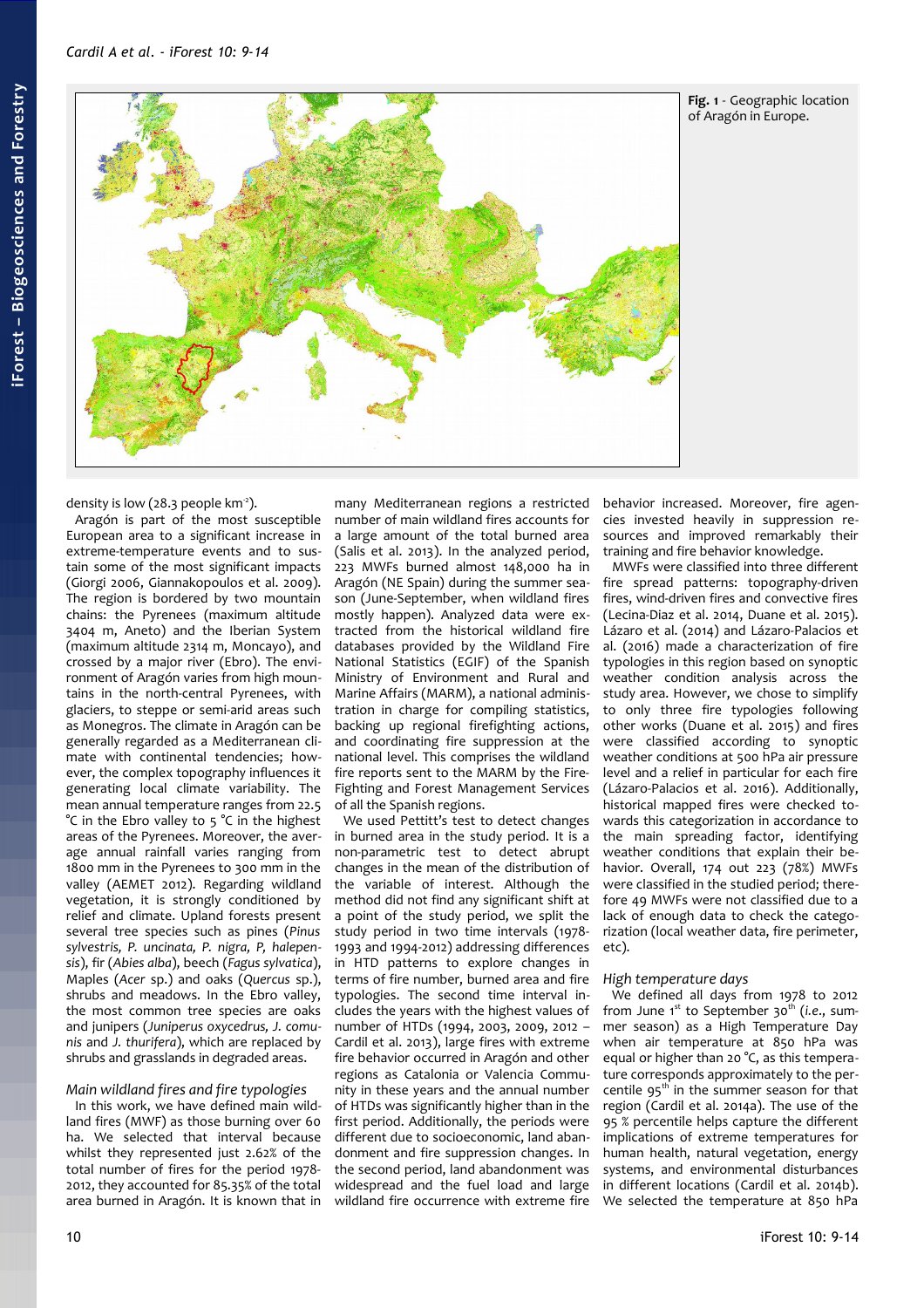

<span id="page-1-0"></span>**Fig. 1** - Geographic location of Aragón in Europe.

density is low (28.3 people  $km<sup>-2</sup>$ ).

Aragón is part of the most susceptible European area to a significant increase in extreme-temperature events and to sustain some of the most significant impacts (Giorgi 2006, Giannakopoulos et al. 2009). The region is bordered by two mountain chains: the Pyrenees (maximum altitude 3404 m, Aneto) and the Iberian System (maximum altitude 2314 m, Moncayo), and crossed by a major river (Ebro). The environment of Aragón varies from high mountains in the north-central Pyrenees, with glaciers, to steppe or semi-arid areas such as Monegros. The climate in Aragón can be generally regarded as a Mediterranean climate with continental tendencies; however, the complex topography influences it generating local climate variability. The mean annual temperature ranges from 22.5 °C in the Ebro valley to 5 °C in the highest areas of the Pyrenees. Moreover, the average annual rainfall varies ranging from 1800 mm in the Pyrenees to 300 mm in the valley (AEMET 2012). Regarding wildland vegetation, it is strongly conditioned by relief and climate. Upland forests present several tree species such as pines (*Pinus sylvestris, P. uncinata, P. nigra, P, halepensis*), fir (*Abies alba*), beech (*Fagus sylvatica*), Maples (*Acer* sp.) and oaks (*Quercus* sp.), shrubs and meadows. In the Ebro valley, the most common tree species are oaks and junipers (*Juniperus oxycedrus, J. comunis* and *J. thurifera*), which are replaced by shrubs and grasslands in degraded areas.

#### *Main wildland fires and fire typologies*

In this work, we have defined main wildland fires (MWF) as those burning over 60 ha. We selected that interval because whilst they represented just 2.62% of the total number of fires for the period 1978- 2012, they accounted for 85.35% of the total area burned in Aragón. It is known that in

many Mediterranean regions a restricted number of main wildland fires accounts for a large amount of the total burned area (Salis et al. 2013). In the analyzed period, 223 MWFs burned almost 148,000 ha in Aragón (NE Spain) during the summer season (June-September, when wildland fires mostly happen). Analyzed data were extracted from the historical wildland fire databases provided by the Wildland Fire National Statistics (EGIF) of the Spanish Ministry of Environment and Rural and Marine Affairs (MARM), a national administration in charge for compiling statistics, backing up regional firefighting actions, and coordinating fire suppression at the national level. This comprises the wildland fire reports sent to the MARM by the Fire-Fighting and Forest Management Services of all the Spanish regions.

We used Pettitt's test to detect changes in burned area in the study period. It is a non-parametric test to detect abrupt changes in the mean of the distribution of the variable of interest. Although the method did not find any significant shift at a point of the study period, we split the study period in two time intervals (1978- 1993 and 1994-2012) addressing differences in HTD patterns to explore changes in terms of fire number, burned area and fire typologies. The second time interval includes the years with the highest values of number of HTDs (1994, 2003, 2009, 2012 – Cardil et al. 2013), large fires with extreme fire behavior occurred in Aragón and other regions as Catalonia or Valencia Community in these years and the annual number of HTDs was significantly higher than in the first period. Additionally, the periods were different due to socioeconomic, land abandonment and fire suppression changes. In the second period, land abandonment was widespread and the fuel load and large wildland fire occurrence with extreme fire behavior increased. Moreover, fire agencies invested heavily in suppression resources and improved remarkably their training and fire behavior knowledge.

MWFs were classified into three different fire spread patterns: topography-driven fires, wind-driven fires and convective fires (Lecina-Diaz et al. 2014, Duane et al. 2015). Lázaro et al. (2014) and Lázaro-Palacios et al. (2016) made a characterization of fire typologies in this region based on synoptic weather condition analysis across the study area. However, we chose to simplify to only three fire typologies following other works (Duane et al. 2015) and fires were classified according to synoptic weather conditions at 500 hPa air pressure level and a relief in particular for each fire (Lázaro-Palacios et al. 2016). Additionally, historical mapped fires were checked towards this categorization in accordance to the main spreading factor, identifying weather conditions that explain their behavior. Overall, 174 out 223 (78%) MWFs were classified in the studied period; therefore 49 MWFs were not classified due to a lack of enough data to check the categorization (local weather data, fire perimeter, etc).

#### *High temperature days*

We defined all days from 1978 to 2012 from June 1<sup>st</sup> to September 30<sup>th</sup> (*i.e.*, summer season) as a High Temperature Day when air temperature at 850 hPa was equal or higher than 20 °C, as this temperature corresponds approximately to the percentile  $95<sup>th</sup>$  in the summer season for that region (Cardil et al. 2014a). The use of the 95 % percentile helps capture the different implications of extreme temperatures for human health, natural vegetation, energy systems, and environmental disturbances in different locations (Cardil et al. 2014b). We selected the temperature at 850 hPa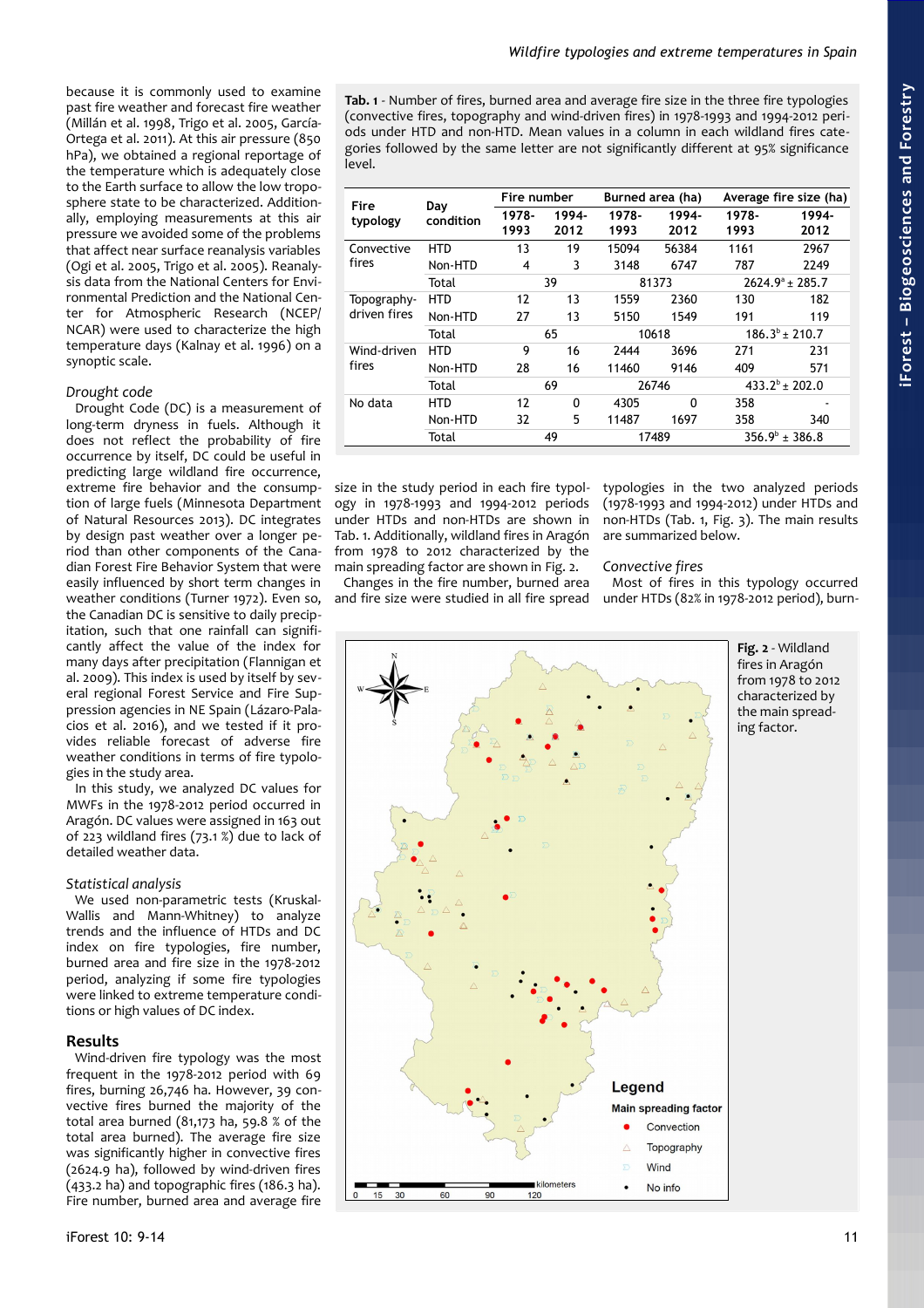because it is commonly used to examine past fire weather and forecast fire weather (Millán et al. 1998, Trigo et al. 2005, García-Ortega et al. 2011). At this air pressure (850 hPa), we obtained a regional reportage of the temperature which is adequately close to the Earth surface to allow the low troposphere state to be characterized. Additionally, employing measurements at this air pressure we avoided some of the problems that affect near surface reanalysis variables (Ogi et al. 2005, Trigo et al. 2005). Reanalysis data from the National Centers for Environmental Prediction and the National Center for Atmospheric Research (NCEP/ NCAR) were used to characterize the high temperature days (Kalnay et al. 1996) on a synoptic scale.

# *Drought code*

Drought Code (DC) is a measurement of long-term dryness in fuels. Although it does not reflect the probability of fire occurrence by itself, DC could be useful in predicting large wildland fire occurrence, extreme fire behavior and the consumption of large fuels (Minnesota Department of Natural Resources 2013). DC integrates by design past weather over a longer period than other components of the Canadian Forest Fire Behavior System that were easily influenced by short term changes in weather conditions (Turner 1972). Even so, the Canadian DC is sensitive to daily precipitation, such that one rainfall can significantly affect the value of the index for many days after precipitation (Flannigan et al. 2009). This index is used by itself by several regional Forest Service and Fire Suppression agencies in NE Spain (Lázaro-Palacios et al. 2016), and we tested if it provides reliable forecast of adverse fire weather conditions in terms of fire typologies in the study area.

In this study, we analyzed DC values for MWFs in the 1978-2012 period occurred in Aragón. DC values were assigned in 163 out of 223 wildland fires (73.1 %) due to lack of detailed weather data.

# *Statistical analysis*

We used non-parametric tests (Kruskal-Wallis and Mann-Whitney) to analyze trends and the influence of HTDs and DC index on fire typologies, fire number, burned area and fire size in the 1978-2012 period, analyzing if some fire typologies were linked to extreme temperature conditions or high values of DC index.

# **Results**

Wind-driven fire typology was the most frequent in the 1978-2012 period with 69 fires, burning 26,746 ha. However, 39 convective fires burned the majority of the total area burned (81,173 ha, 59.8  $%$  of the total area burned). The average fire size was significantly higher in convective fires (2624.9 ha), followed by wind-driven fires (433.2 ha) and topographic fires (186.3 ha). Fire number, burned area and average fire

<span id="page-2-0"></span>**Tab. 1** - Number of fires, burned area and average fire size in the three fire typologies (convective fires, topography and wind-driven fires) in 1978-1993 and 1994-2012 periods under HTD and non-HTD. Mean values in a column in each wildland fires categories followed by the same letter are not significantly different at 95% significance level.

| Fire<br>typology            | Day<br>condition | Fire number   |               | Burned area (ha) |               | Average fire size (ha)   |               |
|-----------------------------|------------------|---------------|---------------|------------------|---------------|--------------------------|---------------|
|                             |                  | 1978-<br>1993 | 1994-<br>2012 | 1978-<br>1993    | 1994-<br>2012 | 1978-<br>1993            | 1994-<br>2012 |
| Convective<br>fires         | HTD              | 13            | 19            | 15094            | 56384         | 1161                     | 2967          |
|                             | Non-HTD          | 4             | 3             | 3148             | 6747          | 787                      | 2249          |
|                             | Total            | 39            |               | 81373            |               | $2624.9^{\circ}$ + 285.7 |               |
| Topography-<br>driven fires | HTD              | 12            | 13            | 1559             | 2360          | 130                      | 182           |
|                             | Non-HTD          | 27            | 13            | 5150             | 1549          | 191                      | 119           |
|                             | Total            | 65            |               | 10618            |               | $186.3^{b}$ ± 210.7      |               |
| Wind-driven<br>fires        | HTD              | 9             | 16            | 2444             | 3696          | 271                      | 231           |
|                             | Non-HTD          | 28            | 16            | 11460            | 9146          | 409                      | 571           |
|                             | Total            | 69            |               | 26746            |               | $433.2^b \pm 202.0$      |               |
| No data                     | HTD              | 12            | 0             | 4305             | 0             | 358                      |               |
|                             | Non-HTD          | 32            | 5             | 11487            | 1697          | 358                      | 340           |
|                             | Total            | 49            |               | 17489            |               | $356.9^{\circ}$ ± 386.8  |               |

size in the study period in each fire typology in 1978-1993 and 1994-2012 periods under HTDs and non-HTDs are shown in [Tab. 1.](#page-2-0) Additionally, wildland fires in Aragón from 1978 to 2012 characterized by the main spreading factor are shown in [Fig. 2.](#page-2-1)

Changes in the fire number, burned area and fire size were studied in all fire spread

typologies in the two analyzed periods (1978-1993 and 1994-2012) under HTDs and non-HTDs [\(Tab. 1,](#page-2-0) [Fig. 3\)](#page-3-0). The main results are summarized below.

# *Convective fires*

Most of fires in this typology occurred under HTDs (82% in 1978-2012 period), burn-



<span id="page-2-1"></span>**Fig. 2** - Wildland fires in Aragón from 1978 to 2012 characterized by the main spreading factor.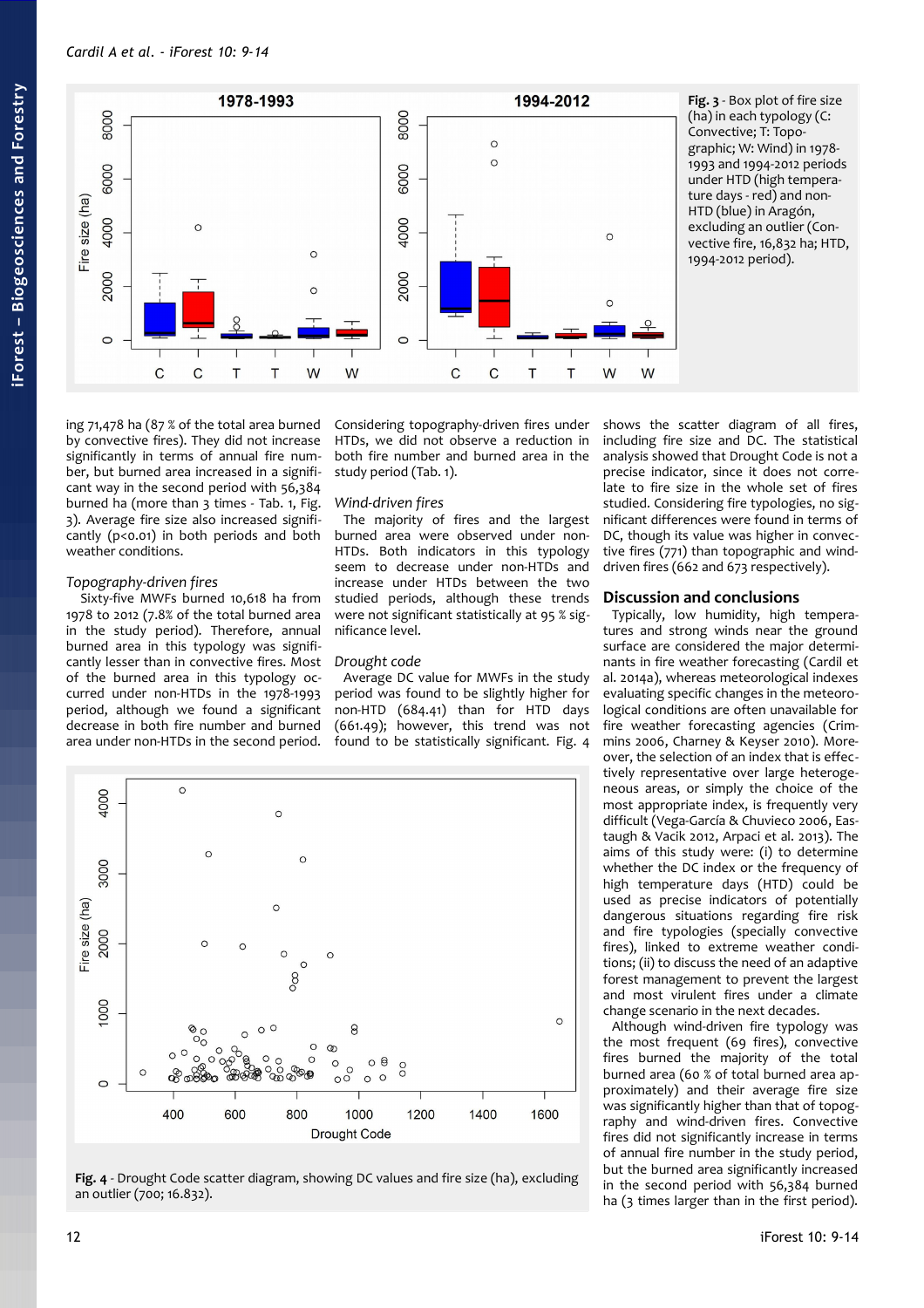

<span id="page-3-0"></span>**Fig. 3** - Box plot of fire size (ha) in each typology (C: Convective; T: Topographic; W: Wind) in 1978- 1993 and 1994-2012 periods under HTD (high temperature days - red) and non-HTD (blue) in Aragón, excluding an outlier (Convective fire, 16,832 ha; HTD, 1994-2012 period).

ing 71,478 ha (87 % of the total area burned by convective fires). They did not increase significantly in terms of annual fire number, but burned area increased in a significant way in the second period with 56,384 burned ha (more than 3 times - [Tab. 1,](#page-2-0) [Fig.](#page-3-0) [3\)](#page-3-0). Average fire size also increased significantly (p<0.01) in both periods and both weather conditions.

#### *Topography-driven fires*

 Sixty-five MWFs burned 10,618 ha from 1978 to 2012 (7.8% of the total burned area in the study period). Therefore, annual burned area in this typology was significantly lesser than in convective fires. Most of the burned area in this typology occurred under non-HTDs in the 1978-1993 period, although we found a significant decrease in both fire number and burned area under non-HTDs in the second period.

Considering topography-driven fires under HTDs, we did not observe a reduction in both fire number and burned area in the study period [\(Tab. 1\)](#page-2-0).

#### *Wind-driven fires*

The majority of fires and the largest burned area were observed under non-HTDs. Both indicators in this typology seem to decrease under non-HTDs and increase under HTDs between the two studied periods, although these trends were not significant statistically at 95 % significance level.

#### *Drought code*

Average DC value for MWFs in the study period was found to be slightly higher for non-HTD (684.41) than for HTD days (661.49); however, this trend was not found to be statistically significant. [Fig. 4](#page-3-1)



<span id="page-3-1"></span>**Fig. 4** - Drought Code scatter diagram, showing DC values and fire size (ha), excluding an outlier (700; 16.832).

shows the scatter diagram of all fires, including fire size and DC. The statistical analysis showed that Drought Code is not a precise indicator, since it does not correlate to fire size in the whole set of fires studied. Considering fire typologies, no significant differences were found in terms of DC, though its value was higher in convective fires (771) than topographic and winddriven fires (662 and 673 respectively).

#### **Discussion and conclusions**

Typically, low humidity, high temperatures and strong winds near the ground surface are considered the major determinants in fire weather forecasting (Cardil et al. 2014a), whereas meteorological indexes evaluating specific changes in the meteorological conditions are often unavailable for fire weather forecasting agencies (Crimmins 2006, Charney & Keyser 2010). Moreover, the selection of an index that is effectively representative over large heterogeneous areas, or simply the choice of the most appropriate index, is frequently very difficult (Vega-García & Chuvieco 2006, Eastaugh & Vacik 2012, Arpaci et al. 2013). The aims of this study were: (i) to determine whether the DC index or the frequency of high temperature days (HTD) could be used as precise indicators of potentially dangerous situations regarding fire risk and fire typologies (specially convective fires), linked to extreme weather conditions; (ii) to discuss the need of an adaptive forest management to prevent the largest and most virulent fires under a climate change scenario in the next decades.

Although wind-driven fire typology was the most frequent (69 fires), convective fires burned the majority of the total burned area (60 % of total burned area approximately) and their average fire size was significantly higher than that of topography and wind-driven fires. Convective fires did not significantly increase in terms of annual fire number in the study period, but the burned area significantly increased in the second period with 56,384 burned ha (3 times larger than in the first period).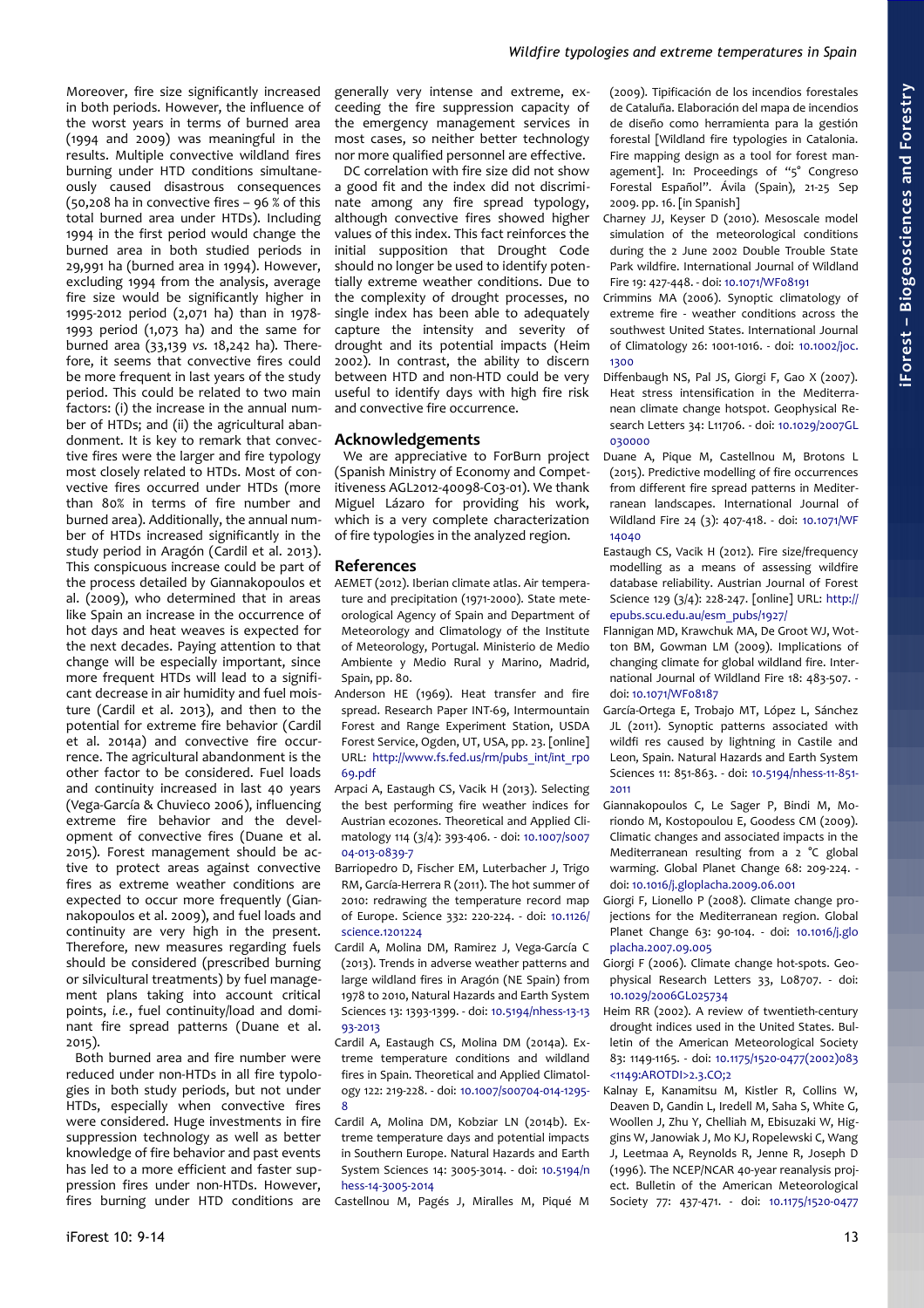# *Wildfire typologies and extreme temperatures in Spain*

Moreover, fire size significantly increased in both periods. However, the influence of the worst years in terms of burned area (1994 and 2009) was meaningful in the results. Multiple convective wildland fires burning under HTD conditions simultaneously caused disastrous consequences (50,208 ha in convective fires – 96 % of this total burned area under HTDs). Including 1994 in the first period would change the burned area in both studied periods in 29,991 ha (burned area in 1994). However, excluding 1994 from the analysis, average fire size would be significantly higher in 1995-2012 period (2,071 ha) than in 1978- 1993 period (1,073 ha) and the same for burned area (33,139 *vs.* 18,242 ha). Therefore, it seems that convective fires could be more frequent in last years of the study period. This could be related to two main factors: (i) the increase in the annual number of HTDs; and (ii) the agricultural abandonment. It is key to remark that convective fires were the larger and fire typology most closely related to HTDs. Most of convective fires occurred under HTDs (more than 80% in terms of fire number and burned area). Additionally, the annual number of HTDs increased significantly in the study period in Aragón (Cardil et al. 2013). This conspicuous increase could be part of the process detailed by Giannakopoulos et al. (2009), who determined that in areas like Spain an increase in the occurrence of hot days and heat weaves is expected for the next decades. Paying attention to that change will be especially important, since more frequent HTDs will lead to a significant decrease in air humidity and fuel moisture (Cardil et al. 2013), and then to the potential for extreme fire behavior (Cardil et al. 2014a) and convective fire occurrence. The agricultural abandonment is the other factor to be considered. Fuel loads and continuity increased in last 40 years (Vega-García & Chuvieco 2006), influencing extreme fire behavior and the development of convective fires (Duane et al. 2015). Forest management should be active to protect areas against convective fires as extreme weather conditions are expected to occur more frequently (Giannakopoulos et al. 2009), and fuel loads and continuity are very high in the present. Therefore, new measures regarding fuels should be considered (prescribed burning or silvicultural treatments) by fuel management plans taking into account critical points, *i.e.*, fuel continuity/load and dominant fire spread patterns (Duane et al. 2015).

Both burned area and fire number were reduced under non-HTDs in all fire typologies in both study periods, but not under HTDs, especially when convective fires were considered. Huge investments in fire suppression technology as well as better knowledge of fire behavior and past events has led to a more efficient and faster suppression fires under non-HTDs. However, fires burning under HTD conditions are generally very intense and extreme, exceeding the fire suppression capacity of the emergency management services in most cases, so neither better technology nor more qualified personnel are effective.

DC correlation with fire size did not show a good fit and the index did not discriminate among any fire spread typology, although convective fires showed higher values of this index. This fact reinforces the initial supposition that Drought Code should no longer be used to identify potentially extreme weather conditions. Due to the complexity of drought processes, no single index has been able to adequately capture the intensity and severity of drought and its potential impacts (Heim 2002). In contrast, the ability to discern between HTD and non-HTD could be very useful to identify days with high fire risk and convective fire occurrence.

#### **Acknowledgements**

We are appreciative to ForBurn project (Spanish Ministry of Economy and Competitiveness AGL2012-40098-C03-01). We thank Miguel Lázaro for providing his work, which is a very complete characterization of fire typologies in the analyzed region.

#### **References**

- AEMET (2012). Iberian climate atlas. Air temperature and precipitation (1971-2000). State meteorological Agency of Spain and Department of Meteorology and Climatology of the Institute of Meteorology, Portugal. Ministerio de Medio Ambiente y Medio Rural y Marino, Madrid, Spain, pp. 80.
- Anderson HE (1969). Heat transfer and fire spread. Research Paper INT-69, Intermountain Forest and Range Experiment Station, USDA Forest Service, Ogden, UT, USA, pp. 23. [online] URL: [http://www.fs.fed.us/rm/pubs\\_int/int\\_rp0](http://www.fs.fed.us/rm/pubs_int/int_rp069.pdf) [69.pdf](http://www.fs.fed.us/rm/pubs_int/int_rp069.pdf)
- Arpaci A, Eastaugh CS, Vacik H (2013). Selecting the best performing fire weather indices for Austrian ecozones. Theoretical and Applied Climatology 114 (3/4): 393-406. - doi: [10.1007/s007](http://dx.doi.org/10.1007/s00704-013-0839-7) [04-013-0839-7](http://dx.doi.org/10.1007/s00704-013-0839-7)
- Barriopedro D, Fischer EM, Luterbacher J, Trigo RM, García-Herrera R (2011). The hot summer of 2010: redrawing the temperature record map of Europe. Science 332: 220-224. - doi: [10.1126/](http://dx.doi.org/10.1126/science.1201224) [science.1201224](http://dx.doi.org/10.1126/science.1201224)
- Cardil A, Molina DM, Ramirez J, Vega-García C (2013). Trends in adverse weather patterns and large wildland fires in Aragón (NE Spain) from 1978 to 2010, Natural Hazards and Earth System Sciences 13: 1393-1399. - doi: [10.5194/nhess-13-13](http://dx.doi.org/10.5194/nhess-13-1393-2013) [93-2013](http://dx.doi.org/10.5194/nhess-13-1393-2013)
- Cardil A, Eastaugh CS, Molina DM (2014a). Extreme temperature conditions and wildland fires in Spain. Theoretical and Applied Climatology 122: 219-228. - doi: [10.1007/s00704-014-1295-](http://dx.doi.org/10.1007/s00704-014-1295-8) [8](http://dx.doi.org/10.1007/s00704-014-1295-8)
- Cardil A, Molina DM, Kobziar LN (2014b). Extreme temperature days and potential impacts in Southern Europe. Natural Hazards and Earth System Sciences 14: 3005-3014. - doi: [10.5194/n](http://dx.doi.org/10.5194/nhess-14-3005-2014) [hess-14-3005-2014](http://dx.doi.org/10.5194/nhess-14-3005-2014)

Castellnou M, Pagés J, Miralles M, Piqué M

(2009). Tipificación de los incendios forestales de Cataluña. Elaboración del mapa de incendios de diseño como herramienta para la gestión forestal [Wildland fire typologies in Catalonia. Fire mapping design as a tool for forest management]. In: Proceedings of "5° Congreso Forestal Español". Ávila (Spain), 21-25 Sep 2009. pp. 16. [in Spanish]

- Charney JJ, Keyser D (2010). Mesoscale model simulation of the meteorological conditions during the 2 June 2002 Double Trouble State Park wildfire. International Journal of Wildland Fire 19: 427-448. - doi: [10.1071/WF08191](http://dx.doi.org/10.1071/WF08191)
- Crimmins MA (2006). Synoptic climatology of extreme fire - weather conditions across the southwest United States. International Journal of Climatology 26: 1001-1016. - doi: [10.1002/joc.](http://dx.doi.org/10.1002/joc.1300) [1300](http://dx.doi.org/10.1002/joc.1300)
- Diffenbaugh NS, Pal JS, Giorgi F, Gao X (2007). Heat stress intensification in the Mediterranean climate change hotspot. Geophysical Research Letters 34: L11706. - doi: [10.1029/2007GL](http://dx.doi.org/10.1029/2007GL030000) [030000](http://dx.doi.org/10.1029/2007GL030000)
- Duane A, Pique M, Castellnou M, Brotons L (2015). Predictive modelling of fire occurrences from different fire spread patterns in Mediterranean landscapes. International Journal of Wildland Fire 24 (3): 407-418. - doi: [10.1071/WF](http://dx.doi.org/10.1071/WF14040) [14040](http://dx.doi.org/10.1071/WF14040)
- Eastaugh CS, Vacik H (2012). Fire size/frequency modelling as a means of assessing wildfire database reliability. Austrian Journal of Forest Science 129 (3/4): 228-247. [online] URL: [http://](http://epubs.scu.edu.au/esm_pubs/1927/) [epubs.scu.edu.au/esm\\_pubs/1927/](http://epubs.scu.edu.au/esm_pubs/1927/)
- Flannigan MD, Krawchuk MA, De Groot WJ, Wotton BM, Gowman LM (2009). Implications of changing climate for global wildland fire. International Journal of Wildland Fire 18: 483-507. doi: [10.1071/WF08187](http://dx.doi.org/10.1071/WF08187)
- García-Ortega E, Trobajo MT, López L, Sánchez JL (2011). Synoptic patterns associated with wildfi res caused by lightning in Castile and Leon, Spain. Natural Hazards and Earth System Sciences 11: 851-863. - doi: [10.5194/nhess-11-851-](http://dx.doi.org/10.5194/nhess-11-851-2011) [2011](http://dx.doi.org/10.5194/nhess-11-851-2011)
- Giannakopoulos C, Le Sager P, Bindi M, Moriondo M, Kostopoulou E, Goodess CM (2009). Climatic changes and associated impacts in the Mediterranean resulting from a 2 °C global warming. Global Planet Change 68: 209-224. doi: [10.1016/j.gloplacha.2009.06.001](http://dx.doi.org/10.1016/j.gloplacha.2009.06.001)
- Giorgi F, Lionello P (2008). Climate change projections for the Mediterranean region. Global Planet Change 63: 90-104. - doi: [10.1016/j.glo](http://dx.doi.org/10.1016/j.gloplacha.2007.09.005) [placha.2007.09.005](http://dx.doi.org/10.1016/j.gloplacha.2007.09.005)
- Giorgi F (2006). Climate change hot-spots. Geophysical Research Letters 33, L08707. - doi: [10.1029/2006GL025734](http://dx.doi.org/10.1029/2006GL025734)
- Heim RR (2002). A review of twentieth-century drought indices used in the United States. Bulletin of the American Meteorological Society 83: 1149-1165. - doi: [10.1175/1520-0477\(2002\)083](http://dx.doi.org/10.1175/1520-0477(2002)083%3C1149:AROTDI%3E2.3.CO;2) [<1149:AROTDI>2.3.CO;2](http://dx.doi.org/10.1175/1520-0477(2002)083%3C1149:AROTDI%3E2.3.CO;2)
- Kalnay E, Kanamitsu M, Kistler R, Collins W, Deaven D, Gandin L, Iredell M, Saha S, White G, Woollen J, Zhu Y, Chelliah M, Ebisuzaki W, Higgins W, Janowiak J, Mo KJ, Ropelewski C, Wang J, Leetmaa A, Reynolds R, Jenne R, Joseph D (1996). The NCEP/NCAR 40-year reanalysis project. Bulletin of the American Meteorological Society 77: 437-471. - doi: [10.1175/1520-0477](http://dx.doi.org/10.1175/1520-0477(1996)077%3C0437:TNYRP%3E2.0.CO;2)